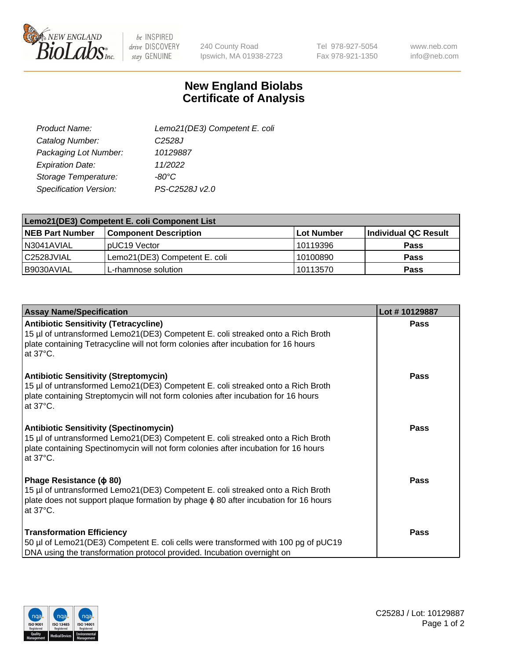

be INSPIRED drive DISCOVERY stay GENUINE

240 County Road Ipswich, MA 01938-2723 Tel 978-927-5054 Fax 978-921-1350

www.neb.com info@neb.com

## **New England Biolabs Certificate of Analysis**

| Lemo21(DE3) Competent E. coli |
|-------------------------------|
| C <sub>2528</sub> J           |
| 10129887                      |
| 11/2022                       |
| $-80^{\circ}$ C               |
| PS-C2528J v2.0                |
|                               |

| Lemo21(DE3) Competent E. coli Component List |                               |                   |                      |  |
|----------------------------------------------|-------------------------------|-------------------|----------------------|--|
| <b>NEB Part Number</b>                       | <b>Component Description</b>  | <b>Lot Number</b> | Individual QC Result |  |
| I N3041AVIAL                                 | IpUC19 Vector                 | 10119396          | <b>Pass</b>          |  |
| C2528JVIAL                                   | Lemo21(DE3) Competent E. coli | 10100890          | <b>Pass</b>          |  |
| B9030AVIAL                                   | L-rhamnose solution           | 10113570          | <b>Pass</b>          |  |

| <b>Assay Name/Specification</b>                                                                                                                                                                                                               | Lot #10129887 |
|-----------------------------------------------------------------------------------------------------------------------------------------------------------------------------------------------------------------------------------------------|---------------|
| <b>Antibiotic Sensitivity (Tetracycline)</b><br>15 µl of untransformed Lemo21(DE3) Competent E. coli streaked onto a Rich Broth<br>plate containing Tetracycline will not form colonies after incubation for 16 hours<br>at 37°C.             | Pass          |
| <b>Antibiotic Sensitivity (Streptomycin)</b><br>15 µl of untransformed Lemo21(DE3) Competent E. coli streaked onto a Rich Broth<br>plate containing Streptomycin will not form colonies after incubation for 16 hours<br>at $37^{\circ}$ C.   | Pass          |
| <b>Antibiotic Sensitivity (Spectinomycin)</b><br>15 µl of untransformed Lemo21(DE3) Competent E. coli streaked onto a Rich Broth<br>plate containing Spectinomycin will not form colonies after incubation for 16 hours<br>at $37^{\circ}$ C. | <b>Pass</b>   |
| Phage Resistance ( $\phi$ 80)<br>15 µl of untransformed Lemo21(DE3) Competent E. coli streaked onto a Rich Broth<br>plate does not support plaque formation by phage $\phi$ 80 after incubation for 16 hours<br>at 37°C.                      | Pass          |
| <b>Transformation Efficiency</b><br>50 µl of Lemo21(DE3) Competent E. coli cells were transformed with 100 pg of pUC19<br>DNA using the transformation protocol provided. Incubation overnight on                                             | Pass          |